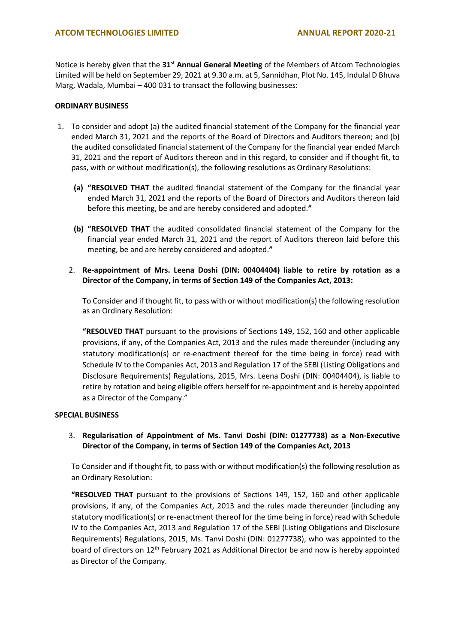Notice is hereby given that the **31st Annual General Meeting** of the Members of Atcom Technologies Limited will be held on September 29, 2021 at 9.30 a.m. at 5, Sannidhan, Plot No. 145, Indulal D Bhuva Marg, Wadala, Mumbai – 400 031 to transact the following businesses:

# **ORDINARY BUSINESS**

- 1. To consider and adopt (a) the audited financial statement of the Company for the financial year ended March 31, 2021 and the reports of the Board of Directors and Auditors thereon; and (b) the audited consolidated financial statement of the Company for the financial year ended March 31, 2021 and the report of Auditors thereon and in this regard, to consider and if thought fit, to pass, with or without modification(s), the following resolutions as Ordinary Resolutions:
	- **(a) "RESOLVED THAT** the audited financial statement of the Company for the financial year ended March 31, 2021 and the reports of the Board of Directors and Auditors thereon laid before this meeting, be and are hereby considered and adopted.**"**
	- **(b) "RESOLVED THAT** the audited consolidated financial statement of the Company for the financial year ended March 31, 2021 and the report of Auditors thereon laid before this meeting, be and are hereby considered and adopted.**"**
	- 2. **Re-appointment of Mrs. Leena Doshi (DIN: 00404404) liable to retire by rotation as a Director of the Company, in terms of Section 149 of the Companies Act, 2013:**

To Consider and if thought fit, to pass with or without modification(s) the following resolution as an Ordinary Resolution:

**"RESOLVED THAT** pursuant to the provisions of Sections 149, 152, 160 and other applicable provisions, if any, of the Companies Act, 2013 and the rules made thereunder (including any statutory modification(s) or re-enactment thereof for the time being in force) read with Schedule IV to the Companies Act, 2013 and Regulation 17 of the SEBI (Listing Obligations and Disclosure Requirements) Regulations, 2015, Mrs. Leena Doshi (DIN: 00404404), is liable to retire by rotation and being eligible offers herself for re-appointment and is hereby appointed as a Director of the Company."

#### **SPECIAL BUSINESS**

3. **Regularisation of Appointment of Ms. Tanvi Doshi (DIN: 01277738) as a Non-Executive Director of the Company, in terms of Section 149 of the Companies Act, 2013**

To Consider and if thought fit, to pass with or without modification(s) the following resolution as an Ordinary Resolution:

**"RESOLVED THAT** pursuant to the provisions of Sections 149, 152, 160 and other applicable provisions, if any, of the Companies Act, 2013 and the rules made thereunder (including any statutory modification(s) or re-enactment thereof for the time being in force) read with Schedule IV to the Companies Act, 2013 and Regulation 17 of the SEBI (Listing Obligations and Disclosure Requirements) Regulations, 2015, Ms. Tanvi Doshi (DIN: 01277738), who was appointed to the board of directors on 12<sup>th</sup> February 2021 as Additional Director be and now is hereby appointed as Director of the Company.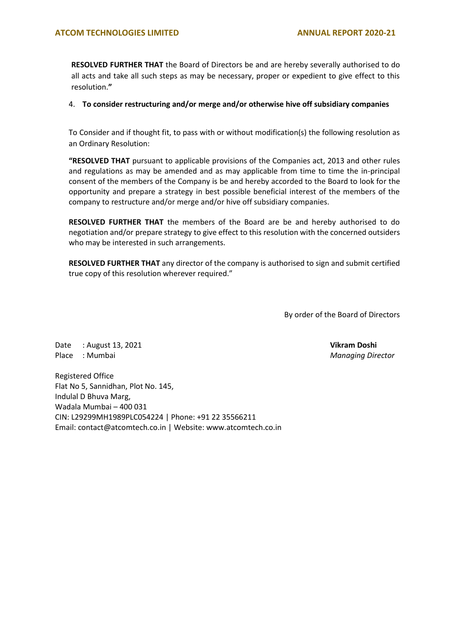**RESOLVED FURTHER THAT** the Board of Directors be and are hereby severally authorised to do all acts and take all such steps as may be necessary, proper or expedient to give effect to this resolution.**"**

# 4. **To consider restructuring and/or merge and/or otherwise hive off subsidiary companies**

To Consider and if thought fit, to pass with or without modification(s) the following resolution as an Ordinary Resolution:

**"RESOLVED THAT** pursuant to applicable provisions of the Companies act, 2013 and other rules and regulations as may be amended and as may applicable from time to time the in-principal consent of the members of the Company is be and hereby accorded to the Board to look for the opportunity and prepare a strategy in best possible beneficial interest of the members of the company to restructure and/or merge and/or hive off subsidiary companies.

**RESOLVED FURTHER THAT** the members of the Board are be and hereby authorised to do negotiation and/or prepare strategy to give effect to this resolution with the concerned outsiders who may be interested in such arrangements.

**RESOLVED FURTHER THAT** any director of the company is authorised to sign and submit certified true copy of this resolution wherever required."

By order of the Board of Directors

Date : August 13, 2021 **Vikram Doshi** Place : Mumbai *Managing Director*

Registered Office Flat No 5, Sannidhan, Plot No. 145, Indulal D Bhuva Marg, Wadala Mumbai – 400 031 CIN: L29299MH1989PLC054224 | Phone: +91 22 35566211 Email: contact@atcomtech.co.in | Website: www.atcomtech.co.in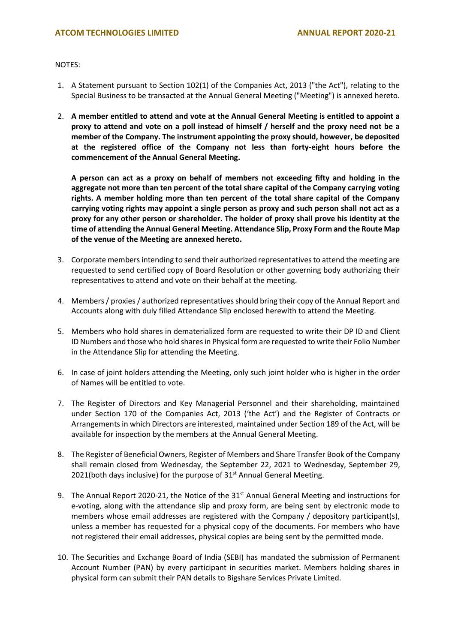NOTES:

- 1. A Statement pursuant to Section 102(1) of the Companies Act, 2013 ("the Act"), relating to the Special Business to be transacted at the Annual General Meeting ("Meeting") is annexed hereto.
- 2. **A member entitled to attend and vote at the Annual General Meeting is entitled to appoint a proxy to attend and vote on a poll instead of himself / herself and the proxy need not be a member of the Company. The instrument appointing the proxy should, however, be deposited at the registered office of the Company not less than forty-eight hours before the commencement of the Annual General Meeting.**

**A person can act as a proxy on behalf of members not exceeding fifty and holding in the aggregate not more than ten percent of the total share capital of the Company carrying voting rights. A member holding more than ten percent of the total share capital of the Company carrying voting rights may appoint a single person as proxy and such person shall not act as a proxy for any other person or shareholder. The holder of proxy shall prove his identity at the time of attending the Annual General Meeting. Attendance Slip, Proxy Form and the Route Map of the venue of the Meeting are annexed hereto.**

- 3. Corporate members intending to send their authorized representatives to attend the meeting are requested to send certified copy of Board Resolution or other governing body authorizing their representatives to attend and vote on their behalf at the meeting.
- 4. Members / proxies / authorized representatives should bring their copy of the Annual Report and Accounts along with duly filled Attendance Slip enclosed herewith to attend the Meeting.
- 5. Members who hold shares in dematerialized form are requested to write their DP ID and Client ID Numbers and those who hold shares in Physical form are requested to write their Folio Number in the Attendance Slip for attending the Meeting.
- 6. In case of joint holders attending the Meeting, only such joint holder who is higher in the order of Names will be entitled to vote.
- 7. The Register of Directors and Key Managerial Personnel and their shareholding, maintained under Section 170 of the Companies Act, 2013 ('the Act') and the Register of Contracts or Arrangements in which Directors are interested, maintained under Section 189 of the Act, will be available for inspection by the members at the Annual General Meeting.
- 8. The Register of Beneficial Owners, Register of Members and Share Transfer Book of the Company shall remain closed from Wednesday, the September 22, 2021 to Wednesday, September 29, 2021(both days inclusive) for the purpose of 31<sup>st</sup> Annual General Meeting.
- 9. The Annual Report 2020-21, the Notice of the 31<sup>st</sup> Annual General Meeting and instructions for e-voting, along with the attendance slip and proxy form, are being sent by electronic mode to members whose email addresses are registered with the Company / depository participant(s), unless a member has requested for a physical copy of the documents. For members who have not registered their email addresses, physical copies are being sent by the permitted mode.
- 10. The Securities and Exchange Board of India (SEBI) has mandated the submission of Permanent Account Number (PAN) by every participant in securities market. Members holding shares in physical form can submit their PAN details to Bigshare Services Private Limited.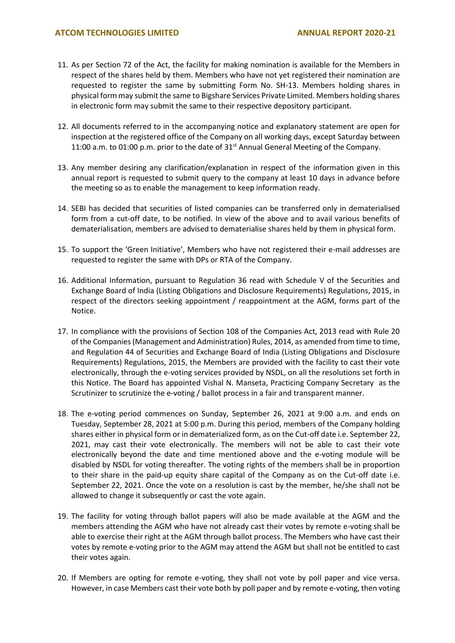- 11. As per Section 72 of the Act, the facility for making nomination is available for the Members in respect of the shares held by them. Members who have not yet registered their nomination are requested to register the same by submitting Form No. SH-13. Members holding shares in physical form may submit the same to Bigshare Services Private Limited. Members holding shares in electronic form may submit the same to their respective depository participant.
- 12. All documents referred to in the accompanying notice and explanatory statement are open for inspection at the registered office of the Company on all working days, except Saturday between 11:00 a.m. to 01:00 p.m. prior to the date of 31<sup>st</sup> Annual General Meeting of the Company.
- 13. Any member desiring any clarification/explanation in respect of the information given in this annual report is requested to submit query to the company at least 10 days in advance before the meeting so as to enable the management to keep information ready.
- 14. SEBI has decided that securities of listed companies can be transferred only in dematerialised form from a cut-off date, to be notified. In view of the above and to avail various benefits of dematerialisation, members are advised to dematerialise shares held by them in physical form.
- 15. To support the 'Green Initiative', Members who have not registered their e-mail addresses are requested to register the same with DPs or RTA of the Company.
- 16. Additional Information, pursuant to Regulation 36 read with Schedule V of the Securities and Exchange Board of India (Listing Obligations and Disclosure Requirements) Regulations, 2015, in respect of the directors seeking appointment / reappointment at the AGM, forms part of the Notice.
- 17. In compliance with the provisions of Section 108 of the Companies Act, 2013 read with Rule 20 of the Companies (Management and Administration) Rules, 2014, as amended from time to time, and Regulation 44 of Securities and Exchange Board of India (Listing Obligations and Disclosure Requirements) Regulations, 2015, the Members are provided with the facility to cast their vote electronically, through the e-voting services provided by NSDL, on all the resolutions set forth in this Notice. The Board has appointed Vishal N. Manseta, Practicing Company Secretary as the Scrutinizer to scrutinize the e-voting / ballot process in a fair and transparent manner.
- 18. The e-voting period commences on Sunday, September 26, 2021 at 9:00 a.m. and ends on Tuesday, September 28, 2021 at 5:00 p.m. During this period, members of the Company holding shares either in physical form or in dematerialized form, as on the Cut-off date i.e. September 22, 2021, may cast their vote electronically. The members will not be able to cast their vote electronically beyond the date and time mentioned above and the e-voting module will be disabled by NSDL for voting thereafter. The voting rights of the members shall be in proportion to their share in the paid-up equity share capital of the Company as on the Cut-off date i.e. September 22, 2021. Once the vote on a resolution is cast by the member, he/she shall not be allowed to change it subsequently or cast the vote again.
- 19. The facility for voting through ballot papers will also be made available at the AGM and the members attending the AGM who have not already cast their votes by remote e-voting shall be able to exercise their right at the AGM through ballot process. The Members who have cast their votes by remote e-voting prior to the AGM may attend the AGM but shall not be entitled to cast their votes again.
- 20. If Members are opting for remote e-voting, they shall not vote by poll paper and vice versa. However, in case Members cast their vote both by poll paper and by remote e-voting, then voting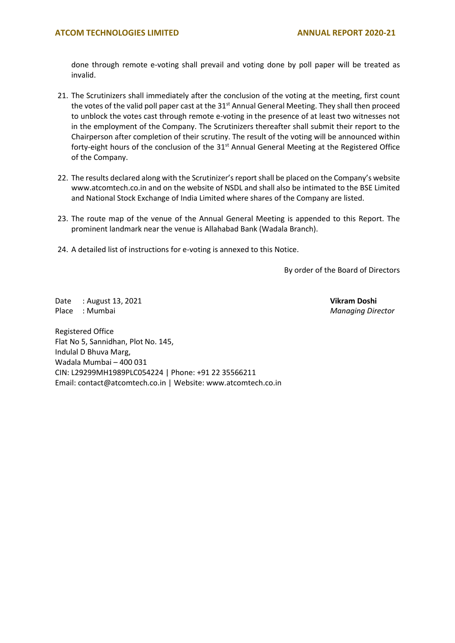done through remote e-voting shall prevail and voting done by poll paper will be treated as invalid.

- 21. The Scrutinizers shall immediately after the conclusion of the voting at the meeting, first count the votes of the valid poll paper cast at the  $31^{st}$  Annual General Meeting. They shall then proceed to unblock the votes cast through remote e-voting in the presence of at least two witnesses not in the employment of the Company. The Scrutinizers thereafter shall submit their report to the Chairperson after completion of their scrutiny. The result of the voting will be announced within forty-eight hours of the conclusion of the 31<sup>st</sup> Annual General Meeting at the Registered Office of the Company.
- 22. The results declared along with the Scrutinizer's report shall be placed on the Company's website www.atcomtech.co.in and on the website of NSDL and shall also be intimated to the BSE Limited and National Stock Exchange of India Limited where shares of the Company are listed.
- 23. The route map of the venue of the Annual General Meeting is appended to this Report. The prominent landmark near the venue is Allahabad Bank (Wadala Branch).
- 24. A detailed list of instructions for e-voting is annexed to this Notice.

By order of the Board of Directors

Date : August 13, 2021 **Vikram Doshi** Place : Mumbai *Managing Director*

Registered Office Flat No 5, Sannidhan, Plot No. 145, Indulal D Bhuva Marg, Wadala Mumbai – 400 031 CIN: L29299MH1989PLC054224 | Phone: +91 22 35566211 Email: contact@atcomtech.co.in | Website: www.atcomtech.co.in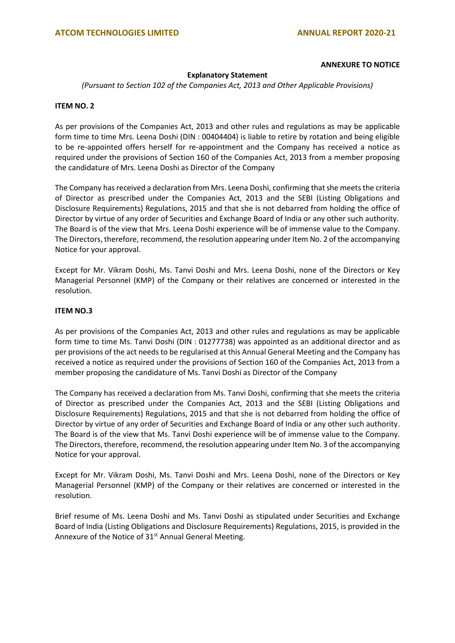#### **ANNEXURE TO NOTICE**

# **Explanatory Statement**

*(Pursuant to Section 102 of the Companies Act, 2013 and Other Applicable Provisions)*

# **ITEM NO. 2**

As per provisions of the Companies Act, 2013 and other rules and regulations as may be applicable form time to time Mrs. Leena Doshi (DIN : 00404404) is liable to retire by rotation and being eligible to be re-appointed offers herself for re-appointment and the Company has received a notice as required under the provisions of Section 160 of the Companies Act, 2013 from a member proposing the candidature of Mrs. Leena Doshi as Director of the Company

The Company has received a declaration from Mrs. Leena Doshi, confirming that she meets the criteria of Director as prescribed under the Companies Act, 2013 and the SEBI (Listing Obligations and Disclosure Requirements) Regulations, 2015 and that she is not debarred from holding the office of Director by virtue of any order of Securities and Exchange Board of India or any other such authority. The Board is of the view that Mrs. Leena Doshi experience will be of immense value to the Company. The Directors, therefore, recommend, the resolution appearing under Item No. 2 of the accompanying Notice for your approval.

Except for Mr. Vikram Doshi, Ms. Tanvi Doshi and Mrs. Leena Doshi, none of the Directors or Key Managerial Personnel (KMP) of the Company or their relatives are concerned or interested in the resolution.

# **ITEM NO.3**

As per provisions of the Companies Act, 2013 and other rules and regulations as may be applicable form time to time Ms. Tanvi Doshi (DIN : 01277738) was appointed as an additional director and as per provisions of the act needs to be regularised at this Annual General Meeting and the Company has received a notice as required under the provisions of Section 160 of the Companies Act, 2013 from a member proposing the candidature of Ms. Tanvi Doshi as Director of the Company

The Company has received a declaration from Ms. Tanvi Doshi, confirming that she meets the criteria of Director as prescribed under the Companies Act, 2013 and the SEBI (Listing Obligations and Disclosure Requirements) Regulations, 2015 and that she is not debarred from holding the office of Director by virtue of any order of Securities and Exchange Board of India or any other such authority. The Board is of the view that Ms. Tanvi Doshi experience will be of immense value to the Company. The Directors, therefore, recommend, the resolution appearing under Item No. 3 of the accompanying Notice for your approval.

Except for Mr. Vikram Doshi, Ms. Tanvi Doshi and Mrs. Leena Doshi, none of the Directors or Key Managerial Personnel (KMP) of the Company or their relatives are concerned or interested in the resolution.

Brief resume of Ms. Leena Doshi and Ms. Tanvi Doshi as stipulated under Securities and Exchange Board of India (Listing Obligations and Disclosure Requirements) Regulations, 2015, is provided in the Annexure of the Notice of 31<sup>st</sup> Annual General Meeting.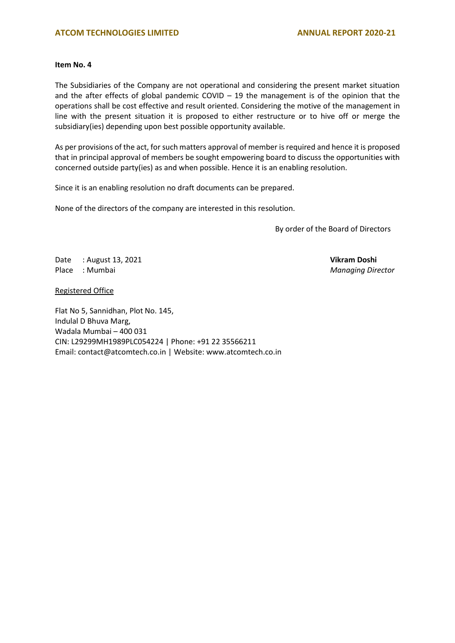# **ATCOM TECHNOLOGIES LIMITED ANNUAL REPORT 2020-21**

# **Item No. 4**

The Subsidiaries of the Company are not operational and considering the present market situation and the after effects of global pandemic COVID  $-$  19 the management is of the opinion that the operations shall be cost effective and result oriented. Considering the motive of the management in line with the present situation it is proposed to either restructure or to hive off or merge the subsidiary(ies) depending upon best possible opportunity available.

As per provisions of the act, for such matters approval of member is required and hence it is proposed that in principal approval of members be sought empowering board to discuss the opportunities with concerned outside party(ies) as and when possible. Hence it is an enabling resolution.

Since it is an enabling resolution no draft documents can be prepared.

None of the directors of the company are interested in this resolution.

By order of the Board of Directors

Date : August 13, 2021 **Vikram Doshi** Place : Mumbai *Managing Director*

Registered Office

Flat No 5, Sannidhan, Plot No. 145, Indulal D Bhuva Marg, Wadala Mumbai – 400 031 CIN: L29299MH1989PLC054224 | Phone: +91 22 35566211 Email: contact@atcomtech.co.in | Website: www.atcomtech.co.in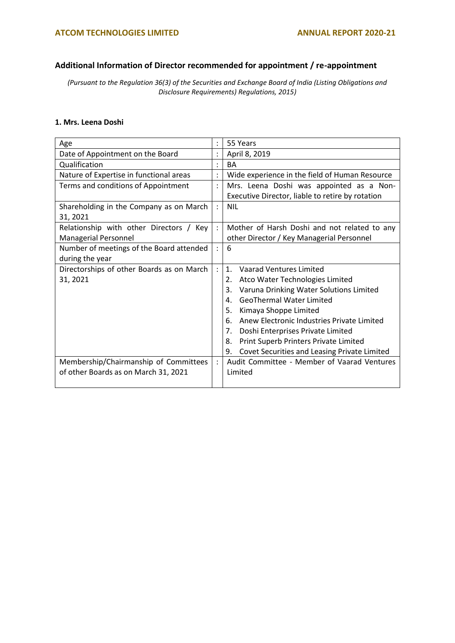# **Additional Information of Director recommended for appointment / re-appointment**

*(Pursuant to the Regulation 36(3) of the Securities and Exchange Board of India (Listing Obligations and Disclosure Requirements) Regulations, 2015)*

# **1. Mrs. Leena Doshi**

| Age                                       |                | 55 Years                                           |
|-------------------------------------------|----------------|----------------------------------------------------|
| Date of Appointment on the Board          |                | April 8, 2019                                      |
| Qualification                             |                | <b>BA</b>                                          |
| Nature of Expertise in functional areas   |                | Wide experience in the field of Human Resource     |
| Terms and conditions of Appointment       | $\ddot{\cdot}$ | Mrs. Leena Doshi was appointed as a Non-           |
|                                           |                | Executive Director, liable to retire by rotation   |
| Shareholding in the Company as on March   | $\ddot{\cdot}$ | <b>NIL</b>                                         |
| 31, 2021                                  |                |                                                    |
| Relationship with other Directors / Key   | $\ddot{\cdot}$ | Mother of Harsh Doshi and not related to any       |
| <b>Managerial Personnel</b>               |                | other Director / Key Managerial Personnel          |
| Number of meetings of the Board attended  |                | 6                                                  |
| during the year                           |                |                                                    |
| Directorships of other Boards as on March | $\ddot{\cdot}$ | $\mathbf{1}$ .<br><b>Vaarad Ventures Limited</b>   |
| 31, 2021                                  |                | Atco Water Technologies Limited<br>2.              |
|                                           |                | Varuna Drinking Water Solutions Limited<br>3.      |
|                                           |                | <b>GeoThermal Water Limited</b><br>4.              |
|                                           |                | 5.<br>Kimaya Shoppe Limited                        |
|                                           |                | Anew Electronic Industries Private Limited<br>6.   |
|                                           |                | 7.<br>Doshi Enterprises Private Limited            |
|                                           |                | Print Superb Printers Private Limited<br>8.        |
|                                           |                | 9.<br>Covet Securities and Leasing Private Limited |
| Membership/Chairmanship of Committees     | $\ddot{\cdot}$ | Audit Committee - Member of Vaarad Ventures        |
| of other Boards as on March 31, 2021      |                | Limited                                            |
|                                           |                |                                                    |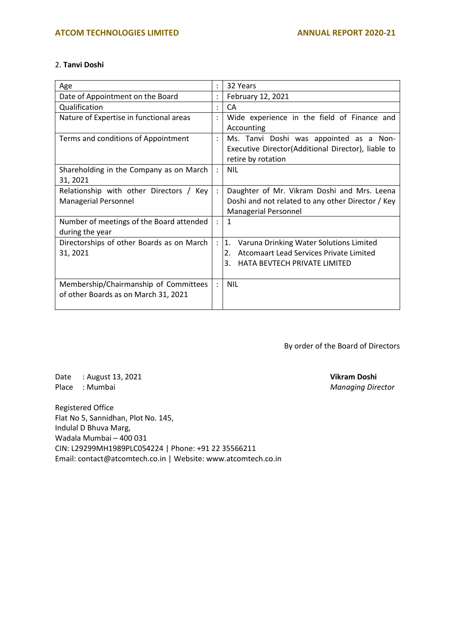# 2. **Tanvi Doshi**

| Age                                                                           | $\bullet$            | 32 Years                                                                                                                             |
|-------------------------------------------------------------------------------|----------------------|--------------------------------------------------------------------------------------------------------------------------------------|
| Date of Appointment on the Board                                              |                      | February 12, 2021                                                                                                                    |
| Qualification                                                                 | $\bullet$            | CA                                                                                                                                   |
| Nature of Expertise in functional areas                                       | $\ddot{\cdot}$       | Wide experience in the field of Finance and<br>Accounting                                                                            |
| Terms and conditions of Appointment                                           | $\ddot{\phantom{a}}$ | Ms. Tanvi Doshi was appointed as a Non-<br>Executive Director(Additional Director), liable to<br>retire by rotation                  |
| Shareholding in the Company as on March<br>31, 2021                           | $\ddot{\cdot}$       | <b>NIL</b>                                                                                                                           |
| Relationship with other Directors / Key<br><b>Managerial Personnel</b>        | $\ddot{\cdot}$       | Daughter of Mr. Vikram Doshi and Mrs. Leena<br>Doshi and not related to any other Director / Key<br><b>Managerial Personnel</b>      |
| Number of meetings of the Board attended<br>during the year                   | $\ddot{\cdot}$       | $\mathbf{1}$                                                                                                                         |
| Directorships of other Boards as on March<br>31, 2021                         | $\ddot{\cdot}$       | 1.<br>Varuna Drinking Water Solutions Limited<br>Atcomaart Lead Services Private Limited<br>2.<br>3.<br>HATA BEVTECH PRIVATE LIMITED |
| Membership/Chairmanship of Committees<br>of other Boards as on March 31, 2021 |                      | <b>NIL</b>                                                                                                                           |

By order of the Board of Directors

Date : August 13, 2021 **Vikram Doshi** Place : Mumbai *Managing Director*

Registered Office Flat No 5, Sannidhan, Plot No. 145, Indulal D Bhuva Marg, Wadala Mumbai – 400 031 CIN: L29299MH1989PLC054224 | Phone: +91 22 35566211 Email: contact@atcomtech.co.in | Website: www.atcomtech.co.in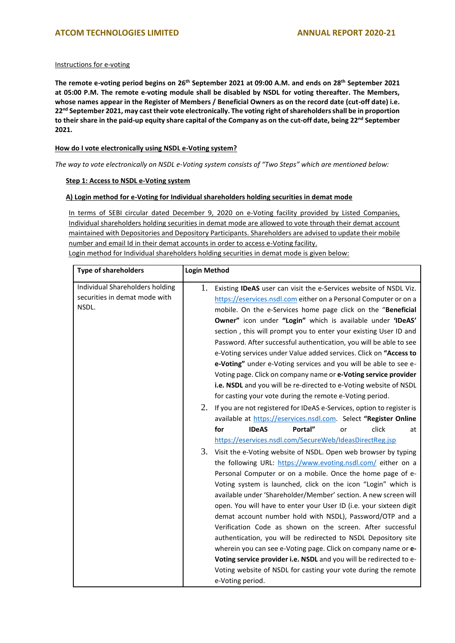## Instructions for e-voting

**The remote e-voting period begins on 26th September 2021 at 09:00 A.M. and ends on 28th September 2021 at 05:00 P.M. The remote e-voting module shall be disabled by NSDL for voting thereafter. The Members, whose names appear in the Register of Members / Beneficial Owners as on the record date (cut-off date) i.e. 22nd September 2021, may cast their vote electronically. The voting right of shareholders shall be in proportion to their share in the paid-up equity share capital of the Company as on the cut-off date, being 22nd September 2021.**

# **How do I vote electronically using NSDL e-Voting system?**

*The way to vote electronically on NSDL e-Voting system consists of "Two Steps" which are mentioned below:*

#### **Step 1: Access to NSDL e-Voting system**

#### **A) Login method for e-Voting for Individual shareholders holding securities in demat mode**

In terms of SEBI circular dated December 9, 2020 on e-Voting facility provided by Listed Companies, Individual shareholders holding securities in demat mode are allowed to vote through their demat account maintained with Depositories and Depository Participants. Shareholders are advised to update their mobile number and email Id in their demat accounts in order to access e-Voting facility.

Login method for Individual shareholders holding securities in demat mode is given below:

| <b>Type of shareholders</b>                                               | <b>Login Method</b>                                                                                                                                                                                                                                                                                                                                                                                                                                                                                                                                                                                                                                                                                                                                                                                                                                                                                                                                                                                                                                                                                                                                                                                                                                                                                                                                                                                                                                                                                                                                                             |
|---------------------------------------------------------------------------|---------------------------------------------------------------------------------------------------------------------------------------------------------------------------------------------------------------------------------------------------------------------------------------------------------------------------------------------------------------------------------------------------------------------------------------------------------------------------------------------------------------------------------------------------------------------------------------------------------------------------------------------------------------------------------------------------------------------------------------------------------------------------------------------------------------------------------------------------------------------------------------------------------------------------------------------------------------------------------------------------------------------------------------------------------------------------------------------------------------------------------------------------------------------------------------------------------------------------------------------------------------------------------------------------------------------------------------------------------------------------------------------------------------------------------------------------------------------------------------------------------------------------------------------------------------------------------|
| Individual Shareholders holding<br>securities in demat mode with<br>NSDL. | 1.<br>Existing IDeAS user can visit the e-Services website of NSDL Viz.<br>https://eservices.nsdl.com either on a Personal Computer or on a<br>mobile. On the e-Services home page click on the "Beneficial<br>Owner" icon under "Login" which is available under 'IDeAS'<br>section, this will prompt you to enter your existing User ID and<br>Password. After successful authentication, you will be able to see<br>e-Voting services under Value added services. Click on "Access to<br>e-Voting" under e-Voting services and you will be able to see e-<br>Voting page. Click on company name or e-Voting service provider<br>i.e. NSDL and you will be re-directed to e-Voting website of NSDL<br>for casting your vote during the remote e-Voting period.<br>2.<br>If you are not registered for IDeAS e-Services, option to register is<br>available at https://eservices.nsdl.com. Select "Register Online<br><b>IDeAS</b><br>Portal"<br>for<br>click<br>at<br>or<br>https://eservices.nsdl.com/SecureWeb/IdeasDirectReg.jsp<br>3.<br>Visit the e-Voting website of NSDL. Open web browser by typing<br>the following URL: https://www.evoting.nsdl.com/ either on a<br>Personal Computer or on a mobile. Once the home page of e-<br>Voting system is launched, click on the icon "Login" which is<br>available under 'Shareholder/Member' section. A new screen will<br>open. You will have to enter your User ID (i.e. your sixteen digit<br>demat account number hold with NSDL), Password/OTP and a<br>Verification Code as shown on the screen. After successful |
|                                                                           | authentication, you will be redirected to NSDL Depository site                                                                                                                                                                                                                                                                                                                                                                                                                                                                                                                                                                                                                                                                                                                                                                                                                                                                                                                                                                                                                                                                                                                                                                                                                                                                                                                                                                                                                                                                                                                  |
|                                                                           | wherein you can see e-Voting page. Click on company name or e-<br>Voting service provider i.e. NSDL and you will be redirected to e-                                                                                                                                                                                                                                                                                                                                                                                                                                                                                                                                                                                                                                                                                                                                                                                                                                                                                                                                                                                                                                                                                                                                                                                                                                                                                                                                                                                                                                            |
|                                                                           | Voting website of NSDL for casting your vote during the remote<br>e-Voting period.                                                                                                                                                                                                                                                                                                                                                                                                                                                                                                                                                                                                                                                                                                                                                                                                                                                                                                                                                                                                                                                                                                                                                                                                                                                                                                                                                                                                                                                                                              |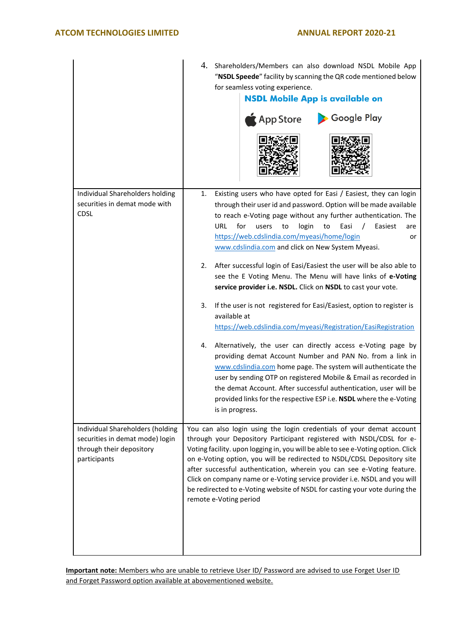|                                                                                                                 | 4. Shareholders/Members can also download NSDL Mobile App<br>"NSDL Speede" facility by scanning the QR code mentioned below<br>for seamless voting experience.<br><b>NSDL Mobile App is available on</b><br>Google Play<br>$\bigwedge$ App Store                                                                                                                                                                                                                                                                                                                           |
|-----------------------------------------------------------------------------------------------------------------|----------------------------------------------------------------------------------------------------------------------------------------------------------------------------------------------------------------------------------------------------------------------------------------------------------------------------------------------------------------------------------------------------------------------------------------------------------------------------------------------------------------------------------------------------------------------------|
| Individual Shareholders holding<br>securities in demat mode with<br><b>CDSL</b>                                 | Existing users who have opted for Easi / Easiest, they can login<br>1.<br>through their user id and password. Option will be made available<br>to reach e-Voting page without any further authentication. The<br><b>URL</b><br>for<br>Easiest<br>users<br>login<br>Easi<br>to<br>to<br>$\prime$<br>are<br>https://web.cdslindia.com/myeasi/home/login<br>or<br>www.cdslindia.com and click on New System Myeasi.                                                                                                                                                           |
|                                                                                                                 | After successful login of Easi/Easiest the user will be also able to<br>2.<br>see the E Voting Menu. The Menu will have links of e-Voting<br>service provider i.e. NSDL. Click on NSDL to cast your vote.                                                                                                                                                                                                                                                                                                                                                                  |
|                                                                                                                 | If the user is not registered for Easi/Easiest, option to register is<br>3.<br>available at<br>https://web.cdslindia.com/myeasi/Registration/EasiRegistration                                                                                                                                                                                                                                                                                                                                                                                                              |
|                                                                                                                 | Alternatively, the user can directly access e-Voting page by<br>4.<br>providing demat Account Number and PAN No. from a link in<br>www.cdslindia.com home page. The system will authenticate the<br>user by sending OTP on registered Mobile & Email as recorded in<br>the demat Account. After successful authentication, user will be<br>provided links for the respective ESP i.e. NSDL where the e-Voting<br>is in progress.                                                                                                                                           |
| Individual Shareholders (holding<br>securities in demat mode) login<br>through their depository<br>participants | You can also login using the login credentials of your demat account<br>through your Depository Participant registered with NSDL/CDSL for e-<br>Voting facility. upon logging in, you will be able to see e-Voting option. Click<br>on e-Voting option, you will be redirected to NSDL/CDSL Depository site<br>after successful authentication, wherein you can see e-Voting feature.<br>Click on company name or e-Voting service provider i.e. NSDL and you will<br>be redirected to e-Voting website of NSDL for casting your vote during the<br>remote e-Voting period |

**Important note:** Members who are unable to retrieve User ID/ Password are advised to use Forget User ID and Forget Password option available at abovementioned website.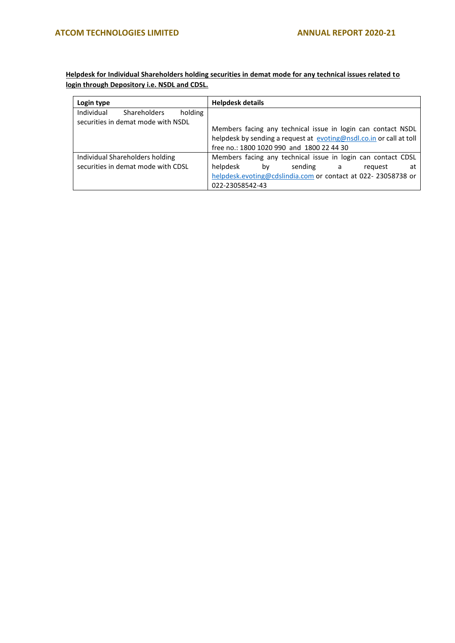**Helpdesk for Individual Shareholders holding securities in demat mode for any technical issues related to login through Depository i.e. NSDL and CDSL.**

| Login type |                                    |         | <b>Helpdesk details</b> |    |                                           |                                                                     |    |
|------------|------------------------------------|---------|-------------------------|----|-------------------------------------------|---------------------------------------------------------------------|----|
| Individual | <b>Shareholders</b>                | holding |                         |    |                                           |                                                                     |    |
|            | securities in demat mode with NSDL |         |                         |    |                                           |                                                                     |    |
|            |                                    |         |                         |    |                                           | Members facing any technical issue in login can contact NSDL        |    |
|            |                                    |         |                         |    |                                           | helpdesk by sending a request at evoting@nsdl.co.in or call at toll |    |
|            |                                    |         |                         |    | free no.: 1800 1020 990 and 1800 22 44 30 |                                                                     |    |
|            | Individual Shareholders holding    |         |                         |    |                                           | Members facing any technical issue in login can contact CDSL        |    |
|            | securities in demat mode with CDSL |         | helpdesk                | bv | sending a                                 | reguest                                                             | at |
|            |                                    |         |                         |    |                                           | helpdesk.evoting@cdslindia.com or contact at 022-23058738 or        |    |
|            |                                    |         | 022-23058542-43         |    |                                           |                                                                     |    |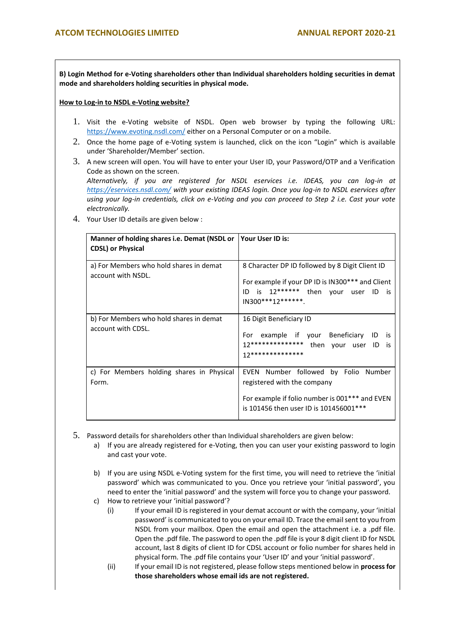**B) Login Method for e-Voting shareholders other than Individual shareholders holding securities in demat mode and shareholders holding securities in physical mode.**

#### **How to Log-in to NSDL e-Voting website?**

- 1. Visit the e-Voting website of NSDL. Open web browser by typing the following URL: <https://www.evoting.nsdl.com/> either on a Personal Computer or on a mobile.
- 2. Once the home page of e-Voting system is launched, click on the icon "Login" which is available under 'Shareholder/Member' section.
- 3. A new screen will open. You will have to enter your User ID, your Password/OTP and a Verification Code as shown on the screen. *Alternatively, if you are registered for NSDL eservices i.e. IDEAS, you can log-in at*

*<https://eservices.nsdl.com/> with your existing IDEAS login. Once you log-in to NSDL eservices after using your log-in credentials, click on e-Voting and you can proceed to Step 2 i.e. Cast your vote electronically.*

4. Your User ID details are given below :

| Manner of holding shares i.e. Demat (NSDL or Your User ID is:<br><b>CDSL) or Physical</b> |                                                                                                                                                                      |
|-------------------------------------------------------------------------------------------|----------------------------------------------------------------------------------------------------------------------------------------------------------------------|
| a) For Members who hold shares in demat<br>account with NSDL.                             | 8 Character DP ID followed by 8 Digit Client ID<br>For example if your DP ID is IN300*** and Client<br>is 12****** then your user ID is<br>ID.<br>IN300***12*******. |
| b) For Members who hold shares in demat<br>account with CDSL.                             | 16 Digit Beneficiary ID<br>For example if your Beneficiary ID<br>- is<br>12************** then your user ID<br>is.<br>17**************                               |
| c) For Members holding shares in Physical<br>Form.                                        | EVEN Number followed by Folio Number<br>registered with the company<br>For example if folio number is 001*** and EVEN<br>is 101456 then user ID is 101456001***      |

- 5. Password details for shareholders other than Individual shareholders are given below:
	- a) If you are already registered for e-Voting, then you can user your existing password to login and cast your vote.
	- b) If you are using NSDL e-Voting system for the first time, you will need to retrieve the 'initial password' which was communicated to you. Once you retrieve your 'initial password', you need to enter the 'initial password' and the system will force you to change your password.
	- c) How to retrieve your 'initial password'?
		- (i) If your email ID is registered in your demat account or with the company, your 'initial password' is communicated to you on your email ID. Trace the email sent to you from NSDL from your mailbox. Open the email and open the attachment i.e. a .pdf file. Open the .pdf file. The password to open the .pdf file is your 8 digit client ID for NSDL account, last 8 digits of client ID for CDSL account or folio number for shares held in physical form. The .pdf file contains your 'User ID' and your 'initial password'.
		- (ii) If your email ID is not registered, please follow steps mentioned below in **process for those shareholders whose email ids are not registered.**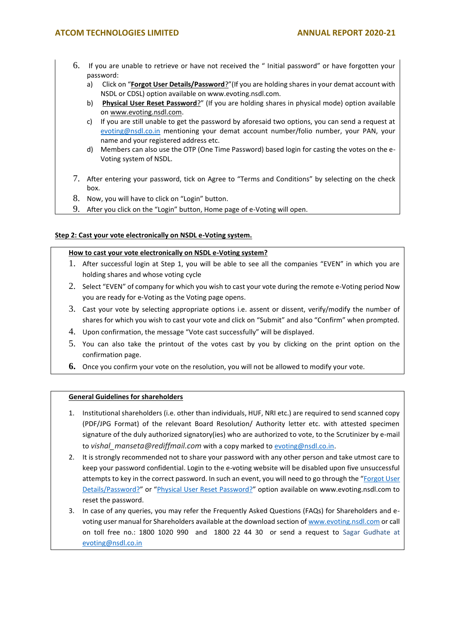- 6. If you are unable to retrieve or have not received the " Initial password" or have forgotten your password:
	- a) Click on "**[Forgot User Details/Password](https://www.evoting.nsdl.com/eVotingWeb/commonhtmls/NewUser.jsp)**?"(If you are holding shares in your demat account with NSDL or CDSL) option available on www.evoting.nsdl.com.
	- b) **[Physical User Reset Password](https://www.evoting.nsdl.com/eVotingWeb/commonhtmls/PhysicalUser.jsp)**?" (If you are holding shares in physical mode) option available o[n www.evoting.nsdl.com.](http://www.evoting.nsdl.com/)
	- c) If you are still unable to get the password by aforesaid two options, you can send a request at [evoting@nsdl.co.in](mailto:evoting@nsdl.co.in) mentioning your demat account number/folio number, your PAN, your name and your registered address etc.
	- d) Members can also use the OTP (One Time Password) based login for casting the votes on the e-Voting system of NSDL.
- 7. After entering your password, tick on Agree to "Terms and Conditions" by selecting on the check box.
- 8. Now, you will have to click on "Login" button.
- 9. After you click on the "Login" button, Home page of e-Voting will open.

# **Step 2: Cast your vote electronically on NSDL e-Voting system.**

# **How to cast your vote electronically on NSDL e-Voting system?**

- 1. After successful login at Step 1, you will be able to see all the companies "EVEN" in which you are holding shares and whose voting cycle
- 2. Select "EVEN" of company for which you wish to cast your vote during the remote e-Voting period Now you are ready for e-Voting as the Voting page opens.
- 3. Cast your vote by selecting appropriate options i.e. assent or dissent, verify/modify the number of shares for which you wish to cast your vote and click on "Submit" and also "Confirm" when prompted.
- 4. Upon confirmation, the message "Vote cast successfully" will be displayed.
- 5. You can also take the printout of the votes cast by you by clicking on the print option on the confirmation page.
- **6.** Once you confirm your vote on the resolution, you will not be allowed to modify your vote.

# **General Guidelines for shareholders**

- 1. Institutional shareholders (i.e. other than individuals, HUF, NRI etc.) are required to send scanned copy (PDF/JPG Format) of the relevant Board Resolution/ Authority letter etc. with attested specimen signature of the duly authorized signatory(ies) who are authorized to vote, to the Scrutinizer by e-mail to *vishal\_manseta@rediffmail.com* with a copy marked to [evoting@nsdl.co.in.](mailto:evoting@nsdl.co.in)
- 2. It is strongly recommended not to share your password with any other person and take utmost care to keep your password confidential. Login to the e-voting website will be disabled upon five unsuccessful attempts to key in the correct password. In such an event, you will need to go through the "Forgot User [Details/Password?](https://www.evoting.nsdl.com/eVotingWeb/commonhtmls/NewUser.jsp)" or "[Physical User Reset Password?](https://www.evoting.nsdl.com/eVotingWeb/commonhtmls/PhysicalUser.jsp)" option available on www.evoting.nsdl.com to reset the password.
- 3. In case of any queries, you may refer the Frequently Asked Questions (FAQs) for Shareholders and evoting user manual for Shareholders available at the download section o[f www.evoting.nsdl.com](http://www.evoting.nsdl.com/) or call on toll free no.: 1800 1020 990 and 1800 22 44 30 or send a request to Sagar Gudhate at [evoting@nsdl.co.in](mailto:evoting@nsdl.co.in)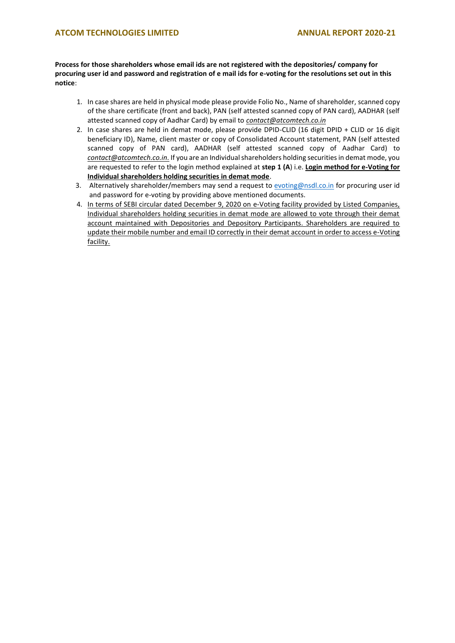**Process for those shareholders whose email ids are not registered with the depositories/ company for procuring user id and password and registration of e mail ids for e-voting for the resolutions set out in this notice**:

- 1. In case shares are held in physical mode please provide Folio No., Name of shareholder, scanned copy of the share certificate (front and back), PAN (self attested scanned copy of PAN card), AADHAR (self attested scanned copy of Aadhar Card) by email to *contact@atcomtech.co.in*
- 2. In case shares are held in demat mode, please provide DPID-CLID (16 digit DPID + CLID or 16 digit beneficiary ID), Name, client master or copy of Consolidated Account statement, PAN (self attested scanned copy of PAN card), AADHAR (self attested scanned copy of Aadhar Card) to *contact@atcomtech.co.in.* If you are an Individual shareholders holding securities in demat mode, you are requested to refer to the login method explained at **step 1 (A**) i.e. **Login method for e-Voting for Individual shareholders holding securities in demat mode**.
- 3. Alternatively shareholder/members may send a request to [evoting@nsdl.co.in](mailto:evoting@nsdl.co.in) for procuring user id and password for e-voting by providing above mentioned documents.
- 4. In terms of SEBI circular dated December 9, 2020 on e-Voting facility provided by Listed Companies, Individual shareholders holding securities in demat mode are allowed to vote through their demat account maintained with Depositories and Depository Participants. Shareholders are required to update their mobile number and email ID correctly in their demat account in order to access e-Voting facility.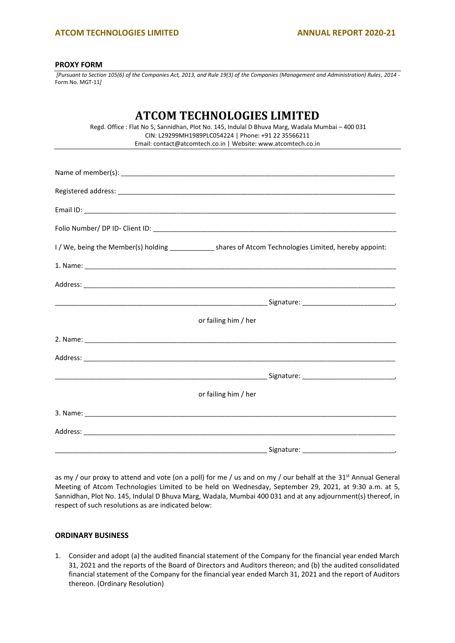# **ATCOM TECHNOLOGIES LIMITED ANNUAL REPORT 2020-21**

#### **PROXY FORM**

*[Pursuant to Section 105(6) of the Companies Act, 2013, and Rule 19(3) of the Companies (Management and Administration) Rules, 2014 -* Form No. MGT-11*]*

# **ATCOM TECHNOLOGIES LIMITED**

| Regd. Office: Flat No 5, Sannidhan, Plot No. 145, Indulal D Bhuva Marg, Wadala Mumbai – 400 031 |
|-------------------------------------------------------------------------------------------------|
| CIN: L29299MH1989PLC054224   Phone: +91 22 35566211                                             |
| Email: contact@atcomtech.co.in   Website: www.atcomtech.co.in                                   |

| I / We, being the Member(s) holding _______________ shares of Atcom Technologies Limited, hereby appoint:     |
|---------------------------------------------------------------------------------------------------------------|
|                                                                                                               |
|                                                                                                               |
|                                                                                                               |
| or failing him / her                                                                                          |
| 2. Name: 2008. 2008. 2008. 2008. 2010. 2010. 2010. 2010. 2010. 2010. 2010. 2010. 2010. 2010. 2010. 2010. 2010 |
|                                                                                                               |
|                                                                                                               |
| or failing him / her                                                                                          |
|                                                                                                               |
|                                                                                                               |
|                                                                                                               |

as my / our proxy to attend and vote (on a poll) for me / us and on my / our behalf at the 31<sup>st</sup> Annual General Meeting of Atcom Technologies Limited to be held on Wednesday, September 29, 2021, at 9:30 a.m. at 5, Sannidhan, Plot No. 145, Indulal D Bhuva Marg, Wadala, Mumbai 400 031 and at any adjournment(s) thereof, in respect of such resolutions as are indicated below:

# **ORDINARY BUSINESS**

1. Consider and adopt (a) the audited financial statement of the Company for the financial year ended March 31, 2021 and the reports of the Board of Directors and Auditors thereon; and (b) the audited consolidated financial statement of the Company for the financial year ended March 31, 2021 and the report of Auditors thereon. (Ordinary Resolution)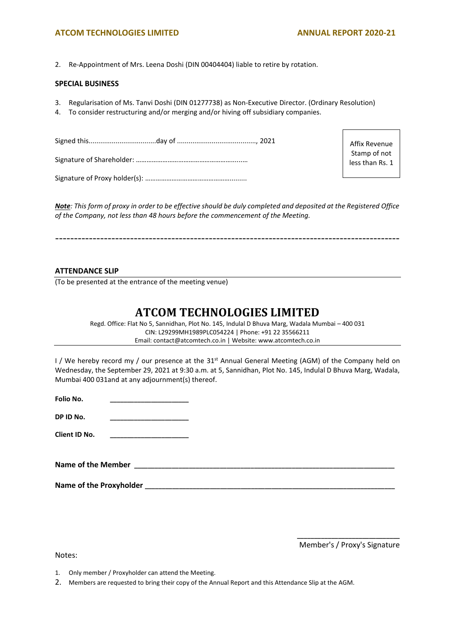# **ATCOM TECHNOLOGIES LIMITED ANNUAL REPORT 2020-21**

2. Re-Appointment of Mrs. Leena Doshi (DIN 00404404) liable to retire by rotation.

#### **SPECIAL BUSINESS**

- 3. Regularisation of Ms. Tanvi Doshi (DIN 01277738) as Non-Executive Director. (Ordinary Resolution)
- 4. To consider restructuring and/or merging and/or hiving off subsidiary companies.

Affix Revenue Stamp of not less than Rs. 1

*Note: This form of proxy in order to be effective should be duly completed and deposited at the Registered Office of the Company, not less than 48 hours before the commencement of the Meeting.*

--------------------------------------------------------------------------------------------

# **ATTENDANCE SLIP**

(To be presented at the entrance of the meeting venue)

# **ATCOM TECHNOLOGIES LIMITED**

Regd. Office: Flat No 5, Sannidhan, Plot No. 145, Indulal D Bhuva Marg, Wadala Mumbai – 400 031 CIN: L29299MH1989PLC054224 | Phone: +91 22 35566211 Email: contact@atcomtech.co.in | Website: www.atcomtech.co.in

I / We hereby record my / our presence at the 31<sup>st</sup> Annual General Meeting (AGM) of the Company held on Wednesday, the September 29, 2021 at 9:30 a.m. at 5, Sannidhan, Plot No. 145, Indulal D Bhuva Marg, Wadala, Mumbai 400 031and at any adjournment(s) thereof.

| Folio No. |  |  |  |
|-----------|--|--|--|
|           |  |  |  |
|           |  |  |  |

**DP ID No. \_\_\_\_\_\_\_\_\_\_\_\_\_\_\_\_\_\_\_\_\_\_\_**

**Client ID No. \_\_\_\_\_\_\_\_\_\_\_\_\_\_\_\_\_\_\_\_\_\_\_**

Name of the Member *Name of the Member* 

Name of the Proxyholder *Name* of the Proxyholder

**\_\_\_\_\_\_\_\_\_\_\_\_\_\_\_\_\_\_\_\_\_\_\_\_\_\_\_\_\_\_** Member's / Proxy's Signature

Notes:

1. Only member / Proxyholder can attend the Meeting.

2. Members are requested to bring their copy of the Annual Report and this Attendance Slip at the AGM.